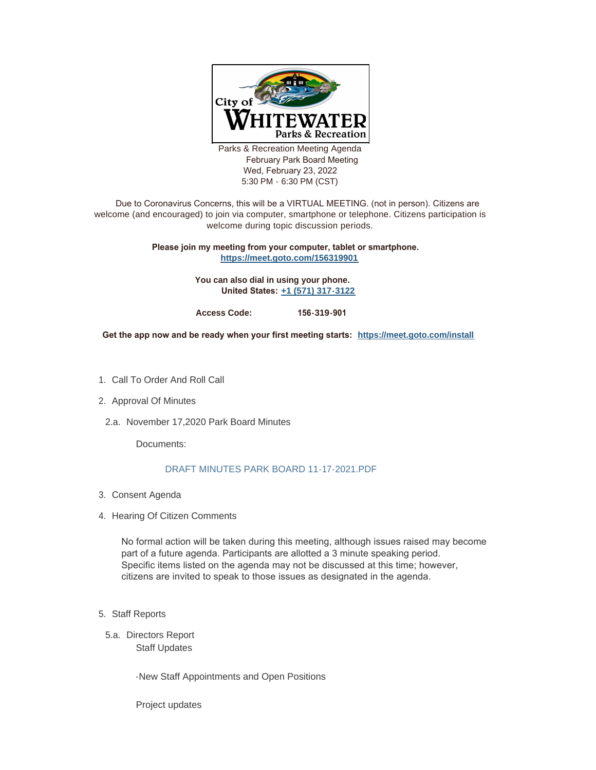

Parks & Recreation Meeting Agenda February Park Board Meeting Wed, February 23, 2022 5:30 PM - 6:30 PM (CST)

 Due to Coronavirus Concerns, this will be a VIRTUAL MEETING. (not in person). Citizens are welcome (and encouraged) to join via computer, smartphone or telephone. Citizens participation is welcome during topic discussion periods.

## **Please join my meeting from your computer, tablet or smartphone. <https://meet.goto.com/156319901>**

**You can also dial in using your phone. United States: [+1 \(571\) 317-3122](tel:+15713173122,,156319901#)**

**Access Code: 156-319-901** 

**Get the app now and be ready when your first meeting starts: <https://meet.goto.com/install>**

- 1. Call To Order And Roll Call
- 2. Approval Of Minutes
- 2.a. November 17,2020 Park Board Minutes

Documents:

## [DRAFT MINUTES PARK BOARD 11-17-2021.PDF](https://www.whitewater-wi.gov/AgendaCenter/ViewFile/Item/5261?fileID=24337)

- Consent Agenda 3.
- 4. Hearing Of Citizen Comments

No formal action will be taken during this meeting, although issues raised may become part of a future agenda. Participants are allotted a 3 minute speaking period. Specific items listed on the agenda may not be discussed at this time; however, citizens are invited to speak to those issues as designated in the agenda.

- 5. Staff Reports
- 5.a. Directors Report Staff Updates

-New Staff Appointments and Open Positions

Project updates